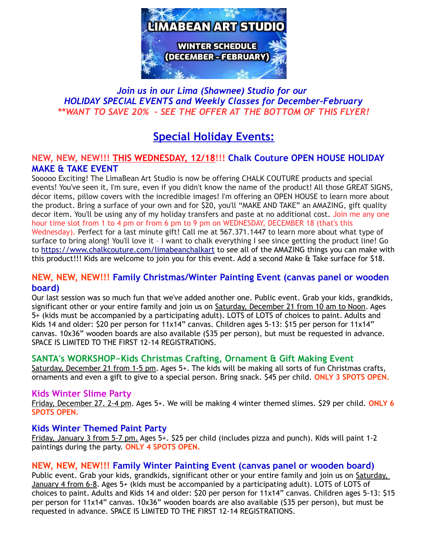

## *Join us in our Lima (Shawnee) Studio for our HOLIDAY SPECIAL EVENTS and Weekly Classes for December-February \*\*WANT TO SAVE 20% – SEE THE OFFER AT THE BOTTOM OF THIS FLYER!*

# **Special Holiday Events:**

## **NEW, NEW, NEW!!! THIS WEDNESDAY, 12/18!!! Chalk Couture OPEN HOUSE HOLIDAY MAKE & TAKE EVENT**

Sooooo Exciting! The LimaBean Art Studio is now be offering CHALK COUTURE products and special events! You've seen it, I'm sure, even if you didn't know the name of the product! All those GREAT SIGNS, décor items, pillow covers with the incredible images! I'm offering an OPEN HOUSE to learn more about the product. Bring a surface of your own and for \$20, you'll "MAKE AND TAKE" an AMAZING, gift quality decor item. You'll be using any of my holiday transfers and paste at no additional cost. Join me any one hour time slot from 1 to 4 pm or from 6 pm to 9 pm on WEDNESDAY, DECEMBER 18 (that's this Wednesday). Perfect for a last minute gift! Call me at 567.371.1447 to learn more about what type of surface to bring along! You'll love it – I want to chalk everything I see since getting the product line! Go to<https://www.chalkcouture.com/limabeanchalkart>to see all of the AMAZING things you can make with this product!!! Kids are welcome to join you for this event. Add a second Make & Take surface for \$18.

### **NEW, NEW, NEW!!! Family Christmas/Winter Painting Event (canvas panel or wooden board)**

Our last session was so much fun that we've added another one. Public event. Grab your kids, grandkids, significant other or your entire family and join us on **Saturday, December 21 from 10 am to Noon**. Ages 5+ (kids must be accompanied by a participating adult). LOTS of LOTS of choices to paint. Adults and Kids 14 and older: \$20 per person for 11x14" canvas. Children ages 5-13: \$15 per person for 11x14" canvas. 10x36" wooden boards are also available (\$35 per person), but must be requested in advance. SPACE IS LIMITED TO THE FIRST 12-14 REGISTRATIONS.

### **SANTA's WORKSHOP~Kids Christmas Crafting, Ornament & Gift Making Event**

Saturday, December 21 from 1-5 pm. Ages 5+. The kids will be making all sorts of fun Christmas crafts, ornaments and even a gift to give to a special person. Bring snack. \$45 per child. **ONLY 3 SPOTS OPEN.**

### **Kids Winter Slime Party**

Friday, December 27. 2-4 pm. Ages 5+. We will be making 4 winter themed slimes. \$29 per child. **ONLY 6 SPOTS OPEN.**

### **Kids Winter Themed Paint Party**

Friday, January 3 from 5-7 pm. Ages 5+. \$25 per child (includes pizza and punch). Kids will paint 1-2 paintings during the party. **ONLY 4 SPOTS OPEN.**

### **NEW, NEW, NEW!!! Family Winter Painting Event (canvas panel or wooden board)**

Public event. Grab your kids, grandkids, significant other or your entire family and join us on Saturday, January 4 from 6-8. Ages 5+ (kids must be accompanied by a participating adult). LOTS of LOTS of choices to paint. Adults and Kids 14 and older: \$20 per person for 11x14" canvas. Children ages 5-13: \$15 per person for 11x14" canvas. 10x36" wooden boards are also available (\$35 per person), but must be requested in advance. SPACE IS LIMITED TO THE FIRST 12-14 REGISTRATIONS.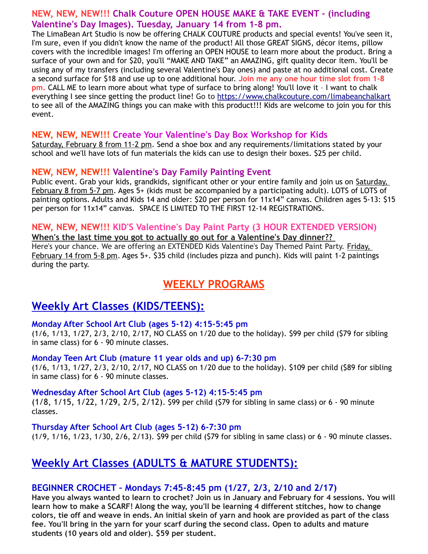### **NEW, NEW, NEW!!! Chalk Couture OPEN HOUSE MAKE & TAKE EVENT – (including Valentine's Day Images). Tuesday, January 14 from 1-8 pm.**

The LimaBean Art Studio is now be offering CHALK COUTURE products and special events! You've seen it, I'm sure, even if you didn't know the name of the product! All those GREAT SIGNS, décor items, pillow covers with the incredible images! I'm offering an OPEN HOUSE to learn more about the product. Bring a surface of your own and for \$20, you'll "MAKE AND TAKE" an AMAZING, gift quality decor item. You'll be using any of my transfers (including several Valentine's Day ones) and paste at no additional cost. Create a second surface for \$18 and use up to one additional hour. **Join me any one hour time slot from 1-8 pm.** CALL ME to learn more about what type of surface to bring along! You'll love it – I want to chalk everything I see since getting the product line! Go to<https://www.chalkcouture.com/limabeanchalkart> to see all of the AMAZING things you can make with this product!!! Kids are welcome to join you for this event.

### **NEW, NEW, NEW!!! Create Your Valentine's Day Box Workshop for Kids**

Saturday, February 8 from 11-2 pm. Send a shoe box and any requirements/limitations stated by your school and we'll have lots of fun materials the kids can use to design their boxes. \$25 per child.

### **NEW, NEW, NEW!!! Valentine's Day Family Painting Event**

Public event. Grab your kids, grandkids, significant other or your entire family and join us on Saturday, February 8 from 5-7 pm. Ages 5+ (kids must be accompanied by a participating adult). LOTS of LOTS of painting options. Adults and Kids 14 and older: \$20 per person for 11x14" canvas. Children ages 5-13: \$15 per person for 11x14" canvas. SPACE IS LIMITED TO THE FIRST 12-14 REGISTRATIONS.

#### **NEW, NEW, NEW!!! KID'S Valentine's Day Paint Party (3 HOUR EXTENDED VERSION) When's the last time you got to actually go out for a Valentine's Day dinner??**

Here's your chance. We are offering an EXTENDED Kids Valentine's Day Themed Paint Party. Friday, February 14 from 5-8 pm. Ages 5+. \$35 child (includes pizza and punch). Kids will paint 1-2 paintings during the party.

## **WEEKLY PROGRAMS**

## **Weekly Art Classes (KIDS/TEENS):**

#### **Monday After School Art Club (ages 5-12) 4:15-5:45 pm**

(1/6, 1/13, 1/27, 2/3, 2/10, 2/17, NO CLASS on 1/20 due to the holiday). \$99 per child (\$79 for sibling in same class) for 6 - 90 minute classes.

#### **Monday Teen Art Club (mature 11 year olds and up) 6-7:30 pm**

(1/6, 1/13, 1/27, 2/3, 2/10, 2/17, NO CLASS on 1/20 due to the holiday). \$109 per child (\$89 for sibling in same class) for 6 - 90 minute classes.

### **Wednesday After School Art Club (ages 5-12) 4:15-5:45 pm**

(1/8, 1/15, 1/22, 1/29, 2/5, 2/12). \$99 per child (\$79 for sibling in same class) or 6 - 90 minute classes.

#### **Thursday After School Art Club (ages 5-12) 6-7:30 pm**

(1/9, 1/16, 1/23, 1/30, 2/6, 2/13). \$99 per child (\$79 for sibling in same class) or 6 - 90 minute classes.

# **Weekly Art Classes (ADULTS & MATURE STUDENTS):**

## **BEGINNER CROCHET – Mondays 7:45-8:45 pm (1/27, 2/3, 2/10 and 2/17)**

**Have you always wanted to learn to crochet? Join us in January and February for 4 sessions. You will learn how to make a SCARF! Along the way, you'll be learning 4 different stitches, how to change colors, tie off and weave in ends. An initial skein of yarn and hook are provided as part of the class fee. You'll bring in the yarn for your scarf during the second class. Open to adults and mature students (10 years old and older). \$59 per student.**